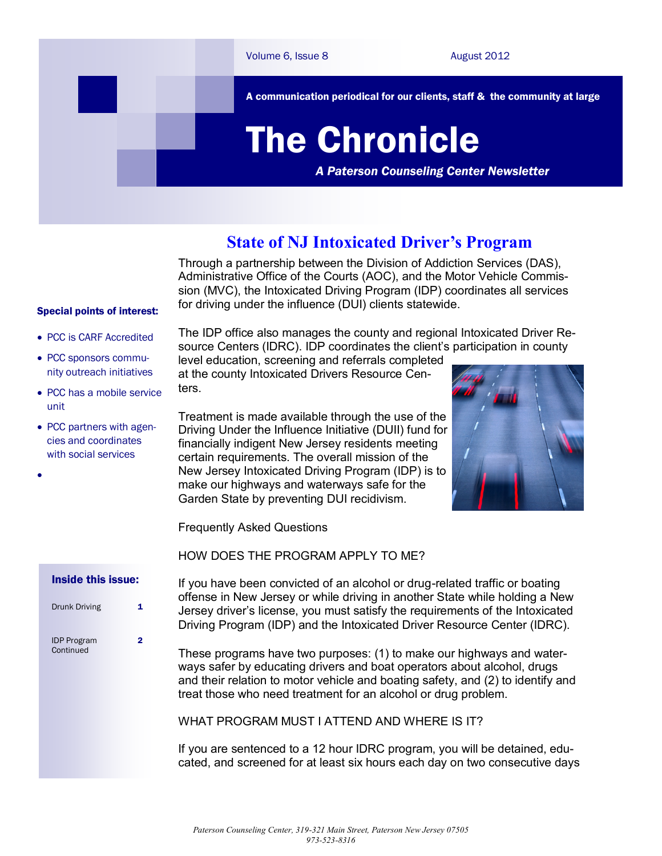

# **State of NJ Intoxicated Driver's Program**

Through a partnership between the Division of Addiction Services (DAS), Administrative Office of the Courts (AOC), and the Motor Vehicle Commission (MVC), the Intoxicated Driving Program (IDP) coordinates all services for driving under the influence (DUI) clients statewide.

#### Special points of interest:

- PCC is CARF Accredited
- PCC sponsors community outreach initiatives
- PCC has a mobile service unit
- PCC partners with agencies and coordinates with social services
- $\bullet$

- Inside this issue:
- Drunk Driving 1 IDP Program Continued

 $\overline{2}$ 

The IDP office also manages the county and regional Intoxicated Driver Resource Centers (IDRC). IDP coordinates the client's participation in county

level education, screening and referrals completed at the county Intoxicated Drivers Resource Centers.

Treatment is made available through the use of the Driving Under the Influence Initiative (DUII) fund for financially indigent New Jersey residents meeting certain requirements. The overall mission of the New Jersey Intoxicated Driving Program (IDP) is to make our highways and waterways safe for the Garden State by preventing DUI recidivism.



Frequently Asked Questions

HOW DOES THE PROGRAM APPLY TO ME?

If you have been convicted of an alcohol or drug-related traffic or boating offense in New Jersey or while driving in another State while holding a New Jersey driver's license, you must satisfy the requirements of the Intoxicated Driving Program (IDP) and the Intoxicated Driver Resource Center (IDRC).

These programs have two purposes: (1) to make our highways and waterways safer by educating drivers and boat operators about alcohol, drugs and their relation to motor vehicle and boating safety, and (2) to identify and treat those who need treatment for an alcohol or drug problem.

WHAT PROGRAM MUST LATTEND AND WHERE IS IT?

If you are sentenced to a 12 hour IDRC program, you will be detained, educated, and screened for at least six hours each day on two consecutive days